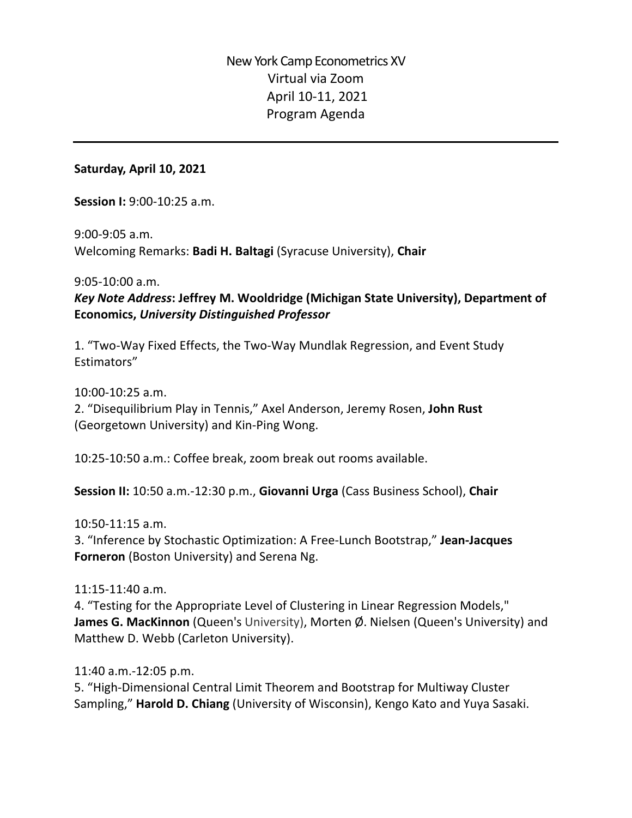#### **Saturday, April 10, 2021**

**Session I:** 9:00-10:25 a.m.

9:00-9:05 a.m. Welcoming Remarks: **Badi H. Baltagi** (Syracuse University), **Chair**

9:05-10:00 a.m.

## *Key Note Address***: Jeffrey M. Wooldridge (Michigan State University), Department of Economics,** *University Distinguished Professor*

1. "Two-Way Fixed Effects, the Two-Way Mundlak Regression, and Event Study Estimators"

10:00-10:25 a.m.

2. "Disequilibrium Play in Tennis," Axel Anderson, Jeremy Rosen, **John Rust** (Georgetown University) and Kin-Ping Wong.

10:25-10:50 a.m.: Coffee break, zoom break out rooms available.

**Session II:** 10:50 a.m.-12:30 p.m., **Giovanni Urga** (Cass Business School), **Chair**

#### 10:50-11:15 a.m.

3. "Inference by Stochastic Optimization: A Free-Lunch Bootstrap," **Jean-Jacques Forneron** (Boston University) and Serena Ng.

### 11:15-11:40 a.m.

4. "Testing for the Appropriate Level of Clustering in Linear Regression Models," **James G. MacKinnon** (Queen's University), Morten Ø. Nielsen (Queen's University) and Matthew D. Webb (Carleton University).

11:40 a.m.-12:05 p.m.

5. "High-Dimensional Central Limit Theorem and Bootstrap for Multiway Cluster Sampling," **Harold D. Chiang** (University of Wisconsin), Kengo Kato and Yuya Sasaki.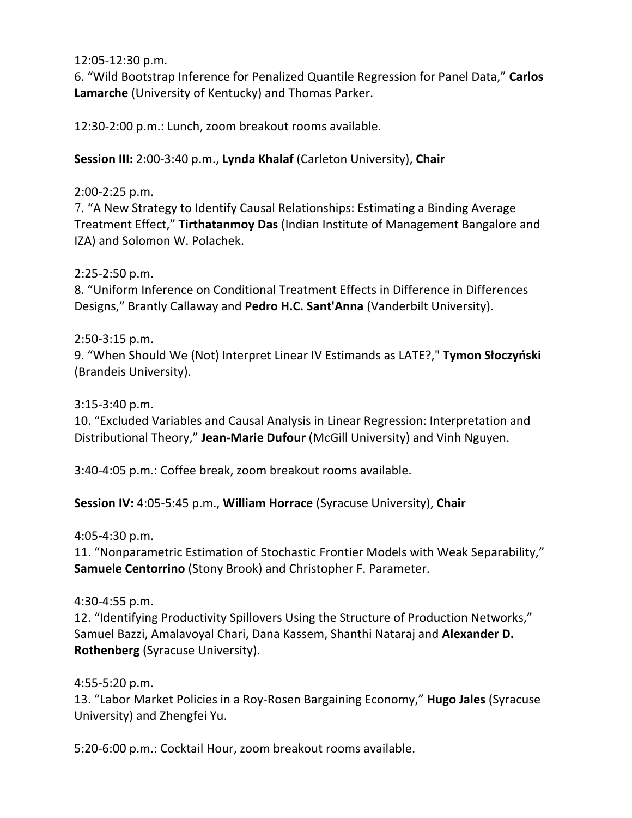12:05-12:30 p.m.

6. "Wild Bootstrap Inference for Penalized Quantile Regression for Panel Data," **Carlos Lamarche** (University of Kentucky) and Thomas Parker.

12:30-2:00 p.m.: Lunch, zoom breakout rooms available.

**Session III:** 2:00-3:40 p.m., **Lynda Khalaf** (Carleton University), **Chair**

### 2:00-2:25 p.m.

7. "A New Strategy to Identify Causal Relationships: Estimating a Binding Average Treatment Effect," **Tirthatanmoy Das** (Indian Institute of Management Bangalore and IZA) and Solomon W. Polachek.

### 2:25-2:50 p.m.

8. "Uniform Inference on Conditional Treatment Effects in Difference in Differences Designs," Brantly Callaway and **Pedro H.C. Sant'Anna** (Vanderbilt University).

## 2:50-3:15 p.m.

9. "When Should We (Not) Interpret Linear IV Estimands as LATE?," **Tymon Słoczyński** (Brandeis University).

### 3:15-3:40 p.m.

10. "Excluded Variables and Causal Analysis in Linear Regression: Interpretation and Distributional Theory," **Jean-Marie Dufour** (McGill University) and Vinh Nguyen.

3:40-4:05 p.m.: Coffee break, zoom breakout rooms available.

## **Session IV:** 4:05-5:45 p.m., **William Horrace** (Syracuse University), **Chair**

4:05**-**4:30 p.m.

11. "Nonparametric Estimation of Stochastic Frontier Models with Weak Separability," **Samuele Centorrino** (Stony Brook) and Christopher F. Parameter.

### 4:30-4:55 p.m.

12. "Identifying Productivity Spillovers Using the Structure of Production Networks," Samuel Bazzi, Amalavoyal Chari, Dana Kassem, Shanthi Nataraj and **Alexander D. Rothenberg** (Syracuse University).

## 4:55-5:20 p.m.

13. "Labor Market Policies in a Roy-Rosen Bargaining Economy," **Hugo Jales** (Syracuse University) and Zhengfei Yu.

5:20-6:00 p.m.: Cocktail Hour, zoom breakout rooms available.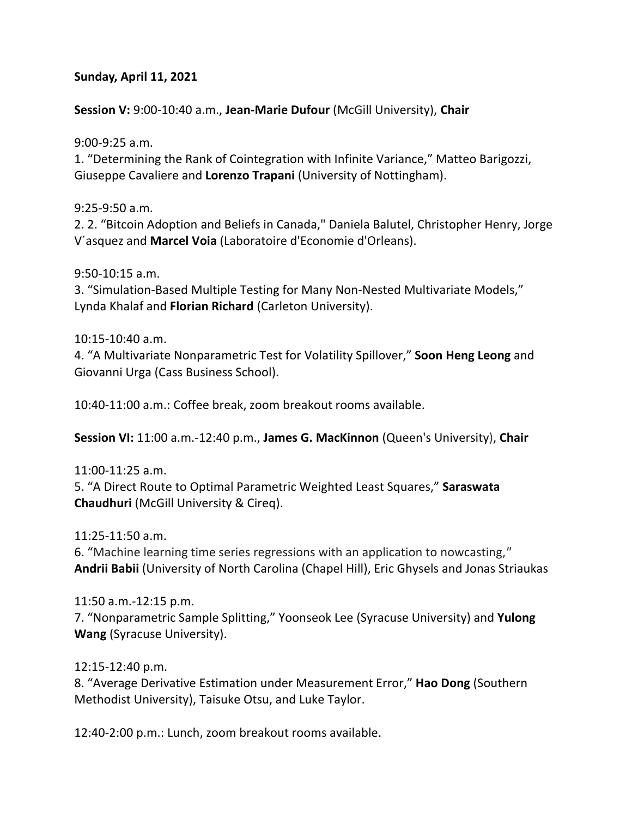### **Sunday, April 11, 2021**

### **Session V:** 9:00-10:40 a.m., **Jean-Marie Dufour** (McGill University), **Chair**

9:00-9:25 a.m.

1. "Determining the Rank of Cointegration with Infinite Variance," Matteo Barigozzi, Giuseppe Cavaliere and **Lorenzo Trapani** (University of Nottingham).

9:25-9:50 a.m.

2. 2. "Bitcoin Adoption and Beliefs in Canada," Daniela Balutel, Christopher Henry, Jorge V´asquez and **Marcel Voia** (Laboratoire d'Economie d'Orleans).

9:50-10:15 a.m.

3. "Simulation-Based Multiple Testing for Many Non-Nested Multivariate Models," Lynda Khalaf and **Florian Richard** (Carleton University).

#### 10:15-10:40 a.m.

4. "A Multivariate Nonparametric Test for Volatility Spillover," **Soon Heng Leong** and Giovanni Urga (Cass Business School).

10:40-11:00 a.m.: Coffee break, zoom breakout rooms available.

**Session VI:** 11:00 a.m.-12:40 p.m., **James G. MacKinnon** (Queen's University), **Chair**

11:00-11:25 a.m.

5. "A Direct Route to Optimal Parametric Weighted Least Squares," **Saraswata Chaudhuri** (McGill University & Cireq).

11:25-11:50 a.m.

6. "Machine learning time series regressions with an application to nowcasting,*"* **Andrii Babii** (University of North Carolina (Chapel Hill), Eric Ghysels and Jonas Striaukas

### 11:50 a.m.-12:15 p.m.

7. "Nonparametric Sample Splitting," Yoonseok Lee (Syracuse University) and **Yulong Wang** (Syracuse University).

### 12:15-12:40 p.m.

8. "Average Derivative Estimation under Measurement Error," **Hao Dong** (Southern Methodist University), Taisuke Otsu, and Luke Taylor.

12:40-2:00 p.m.: Lunch, zoom breakout rooms available.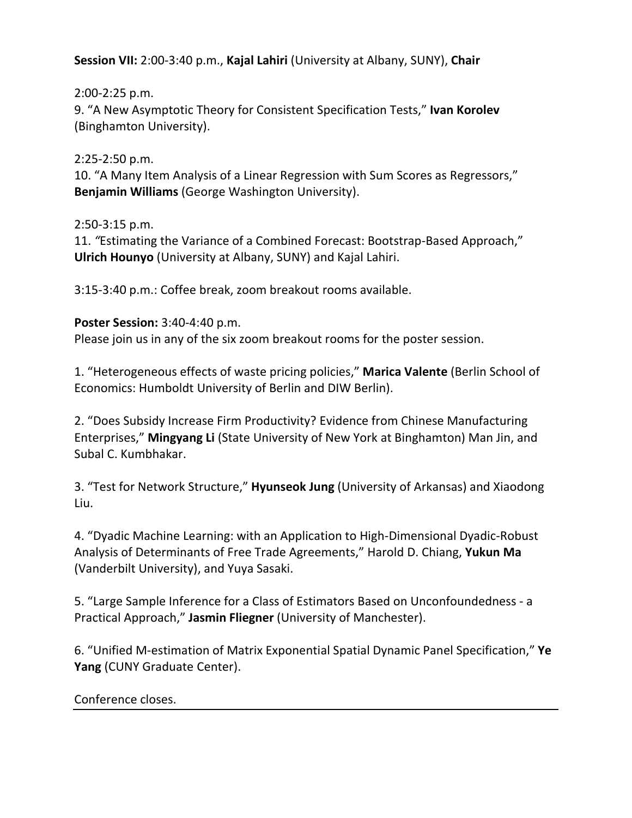**Session VII:** 2:00-3:40 p.m., **Kajal Lahiri** (University at Albany, SUNY), **Chair**

2:00-2:25 p.m.

9. "A New Asymptotic Theory for Consistent Specification Tests," **Ivan Korolev** (Binghamton University).

2:25-2:50 p.m.

10. "A Many Item Analysis of a Linear Regression with Sum Scores as Regressors," **Benjamin Williams** (George Washington University).

2:50-3:15 p.m.

11. *"*Estimating the Variance of a Combined Forecast: Bootstrap-Based Approach," **Ulrich Hounyo** (University at Albany, SUNY) and Kajal Lahiri.

3:15-3:40 p.m.: Coffee break, zoom breakout rooms available.

# **Poster Session:** 3:40-4:40 p.m.

Please join us in any of the six zoom breakout rooms for the poster session.

1. "Heterogeneous effects of waste pricing policies," **Marica Valente** (Berlin School of Economics: Humboldt University of Berlin and DIW Berlin).

2. "Does Subsidy Increase Firm Productivity? Evidence from Chinese Manufacturing Enterprises," **Mingyang Li** (State University of New York at Binghamton) Man Jin, and Subal C. Kumbhakar.

3. "Test for Network Structure," **Hyunseok Jung** (University of Arkansas) and Xiaodong Liu.

4. "Dyadic Machine Learning: with an Application to High-Dimensional Dyadic-Robust Analysis of Determinants of Free Trade Agreements," Harold D. Chiang, **Yukun Ma** (Vanderbilt University), and Yuya Sasaki.

5. "Large Sample Inference for a Class of Estimators Based on Unconfoundedness - a Practical Approach," **Jasmin Fliegner** (University of Manchester).

6. "Unified M-estimation of Matrix Exponential Spatial Dynamic Panel Specification," **Ye Yang** (CUNY Graduate Center).

# Conference closes.